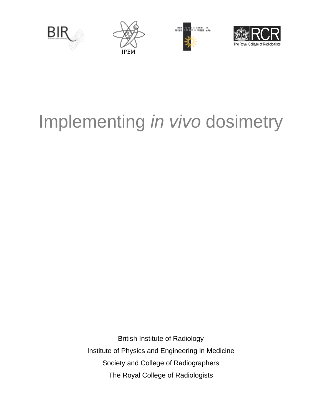

# Implementing *in vivo* dosimetry

British Institute of Radiology Institute of Physics and Engineering in Medicine Society and College of Radiographers The Royal College of Radiologists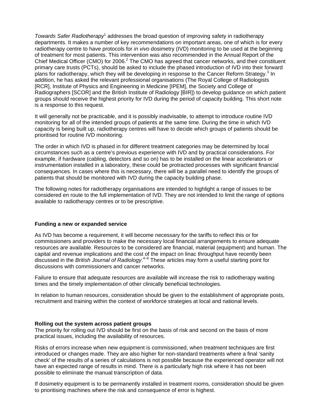Towards Safer Radiotherapy<sup>1</sup> addresses the broad question of improving safety in radiotherapy departments. It makes a number of key recommendations on important areas, one of which is for every radiotherapy centre to have protocols for *in vivo* dosimetry (IVD) monitoring to be used at the beginning of treatment for most patients. This intervention was also recommended in the Annual Report of the Chief Medical Officer (CMO) for 2006.<sup>2</sup> The CMO has agreed that cancer networks, and their constituent primary care trusts (PCTs), should be asked to include the phased introduction of IVD into their forward plans for radiotherapy, which they will be developing in response to the Cancer Reform Strategy.<sup>3</sup> In addition, he has asked the relevant professional organisations (The Royal College of Radiologists [RCR], Institute of Physics and Engineering in Medicine [IPEM], the Society and College of Radiographers [SCOR] and the British Institute of Radiology [BIR]) to develop guidance on which patient groups should receive the highest priority for IVD during the period of capacity building. This short note is a response to this request.

It will generally not be practicable, and it is possibly inadvisable, to attempt to introduce routine IVD monitoring for all of the intended groups of patients at the same time. During the time in which IVD capacity is being built up, radiotherapy centres will have to decide which groups of patients should be prioritised for routine IVD monitoring.

The order in which IVD is phased in for different treatment categories may be determined by local circumstances such as a centre's previous experience with IVD and by practical considerations. For example, if hardware (cabling, detectors and so on) has to be installed on the linear accelerators or instrumentation installed in a laboratory, these could be protracted processes with significant financial consequences. In cases where this is necessary, there will be a parallel need to identify the groups of patients that should be monitored with IVD during the capacity building phase.

The following notes for radiotherapy organisations are intended to highlight a range of issues to be considered en route to the full implementation of IVD. They are not intended to limit the range of options available to radiotherapy centres or to be prescriptive.

## **Funding a new or expanded service**

As IVD has become a requirement, it will become necessary for the tariffs to reflect this or for commissioners and providers to make the necessary local financial arrangements to ensure adequate resources are available. Resources to be considered are financial, material (equipment) and human. The capital and revenue implications and the cost of the impact on linac throughput have recently been discussed in the *British Journal of Radiology*. 4–6 These articles may form a useful starting point for discussions with commissioners and cancer networks.

Failure to ensure that adequate resources are available will increase the risk to radiotherapy waiting times and the timely implementation of other clinically beneficial technologies.

In relation to human resources, consideration should be given to the establishment of appropriate posts, recruitment and training within the context of workforce strategies at local and national levels.

## **Rolling out the system across patient groups**

The priority for rolling out IVD should be first on the basis of risk and second on the basis of more practical issues, including the availability of resources.

Risks of errors increase when new equipment is commissioned, when treatment techniques are first introduced or changes made. They are also higher for non-standard treatments where a final 'sanity check' of the results of a series of calculations is not possible because the experienced operator will not have an expected range of results in mind. There is a particularly high risk where it has not been possible to eliminate the manual transcription of data.

If dosimetry equipment is to be permanently installed in treatment rooms, consideration should be given to prioritising machines where the risk and consequence of error is highest.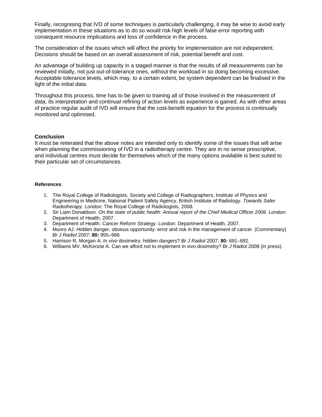Finally, recognising that IVD of some techniques is particularly challenging, it may be wise to avoid early implementation in these situations as to do so would risk high levels of false error reporting with consequent resource implications and loss of confidence in the process.

The consideration of the issues which will affect the priority for implementation are not independent. Decisions should be based on an overall assessment of risk, potential benefit and cost.

An advantage of building up capacity in a staged manner is that the results of all measurements can be reviewed initially, not just out-of-tolerance ones, without the workload in so doing becoming excessive. Acceptable tolerance levels, which may, to a certain extent, be system dependent can be finalised in the light of the initial data.

Throughout this process, time has to be given to training all of those involved in the measurement of data, its interpretation and continual refining of action levels as experience is gained. As with other areas of practice regular audit of IVD will ensure that the cost-benefit equation for the process is continually monitored and optimised.

## **Conclusion**

It must be reiterated that the above notes are intended only to identify some of the issues that will arise when planning the commissioning of IVD in a radiotherapy centre. They are in no sense prescriptive, and individual centres must decide for themselves which of the many options available is best suited to their particular set of circumstances.

### **References**

- 1. The Royal College of Radiologists, Society and College of Radiographers, Institute of Physics and Engineering in Medicine, National Patient Safety Agency, British Institute of Radiology. *Towards Safer Radiotherapy*. London: The Royal College of Radiologists, 2008.
- 2. Sir Liam Donaldson. *On the state of public health: Annual report of the Chief Medical Officer 2006*. London: Department of Health, 2007.
- 3. Department of Health. *Cancer Reform Strategy*. London: Department of Health, 2007.
- 4. Munro AJ. Hidden danger, obvious opportunity: error and risk in the management of cancer. (Commentary) *Br J Radiol* 2007; **80:** 955–966
- 5. Harrison R, Morgan A. *In vivo* dosimetry: hidden dangers? *Br J Radiol* 2007; **80:** 691–692.
- 6. Williams MV, McKenzie A. Can we afford not to implement in vivo dosimetry? *Br J Radiol* 2008 (in press).